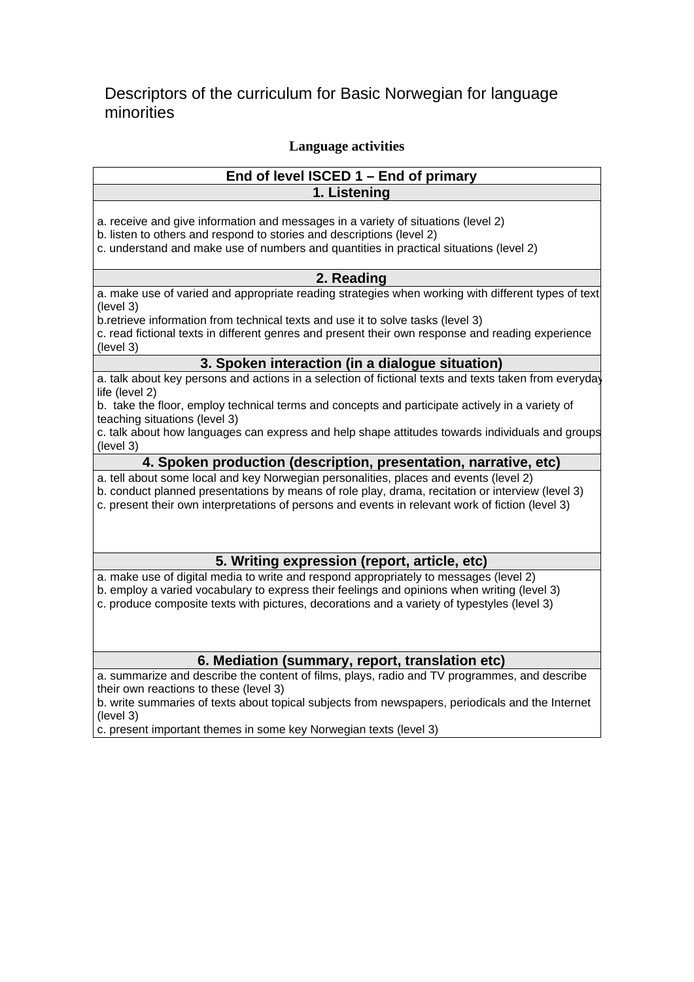## Descriptors of the curriculum for Basic Norwegian for language minorities

## **Language activities**

## **End of level ISCED 1 – End of primary 1. Listening**

a. receive and give information and messages in a variety of situations (level 2)

b. listen to others and respond to stories and descriptions (level 2)

c. understand and make use of numbers and quantities in practical situations (level 2)

### **2. Reading**

a. make use of varied and appropriate reading strategies when working with different types of text (level 3)

b.retrieve information from technical texts and use it to solve tasks (level 3)

c. read fictional texts in different genres and present their own response and reading experience (level 3)

## **3. Spoken interaction (in a dialogue situation)**

a. talk about key persons and actions in a selection of fictional texts and texts taken from everyday life (level 2)

b. take the floor, employ technical terms and concepts and participate actively in a variety of teaching situations (level 3)

c. talk about how languages can express and help shape attitudes towards individuals and groups (level 3)

#### **4. Spoken production (description, presentation, narrative, etc)**

a. tell about some local and key Norwegian personalities, places and events (level 2)

b. conduct planned presentations by means of role play, drama, recitation or interview (level 3)

c. present their own interpretations of persons and events in relevant work of fiction (level 3)

## **5. Writing expression (report, article, etc)**

a. make use of digital media to write and respond appropriately to messages (level 2)

b. employ a varied vocabulary to express their feelings and opinions when writing (level 3) c. produce composite texts with pictures, decorations and a variety of typestyles (level 3)

### **6. Mediation (summary, report, translation etc)**

a. summarize and describe the content of films, plays, radio and TV programmes, and describe their own reactions to these (level 3)

b. write summaries of texts about topical subjects from newspapers, periodicals and the Internet (level 3)

c. present important themes in some key Norwegian texts (level 3)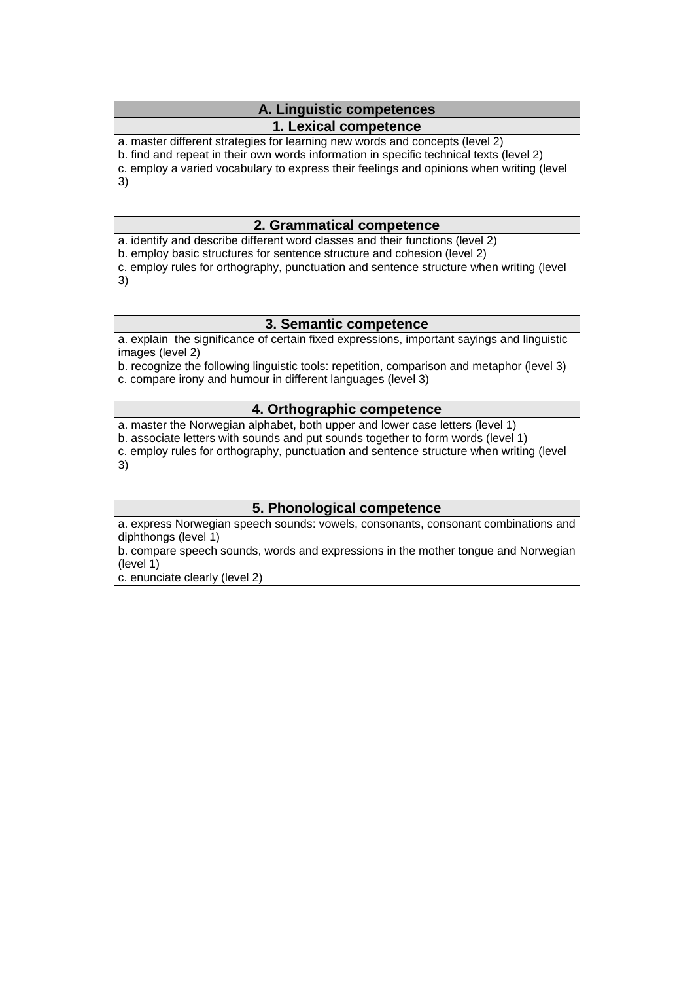## **A. Linguistic competences**

## **1. Lexical competence**

a. master different strategies for learning new words and concepts (level 2)

b. find and repeat in their own words information in specific technical texts (level 2)

c. employ a varied vocabulary to express their feelings and opinions when writing (level

3)

## **2. Grammatical competence**

a. identify and describe different word classes and their functions (level 2) b. employ basic structures for sentence structure and cohesion (level 2)

c. employ rules for orthography, punctuation and sentence structure when writing (level 3)

## **3. Semantic competence**

a. explain the significance of certain fixed expressions, important sayings and linguistic images (level 2)

b. recognize the following linguistic tools: repetition, comparison and metaphor (level 3) c. compare irony and humour in different languages (level 3)

## **4. Orthographic competence**

a. master the Norwegian alphabet, both upper and lower case letters (level 1)

b. associate letters with sounds and put sounds together to form words (level 1)

c. employ rules for orthography, punctuation and sentence structure when writing (level 3)

## **5. Phonological competence**

a. express Norwegian speech sounds: vowels, consonants, consonant combinations and diphthongs (level 1)

b. compare speech sounds, words and expressions in the mother tongue and Norwegian (level 1)

c. enunciate clearly (level 2)